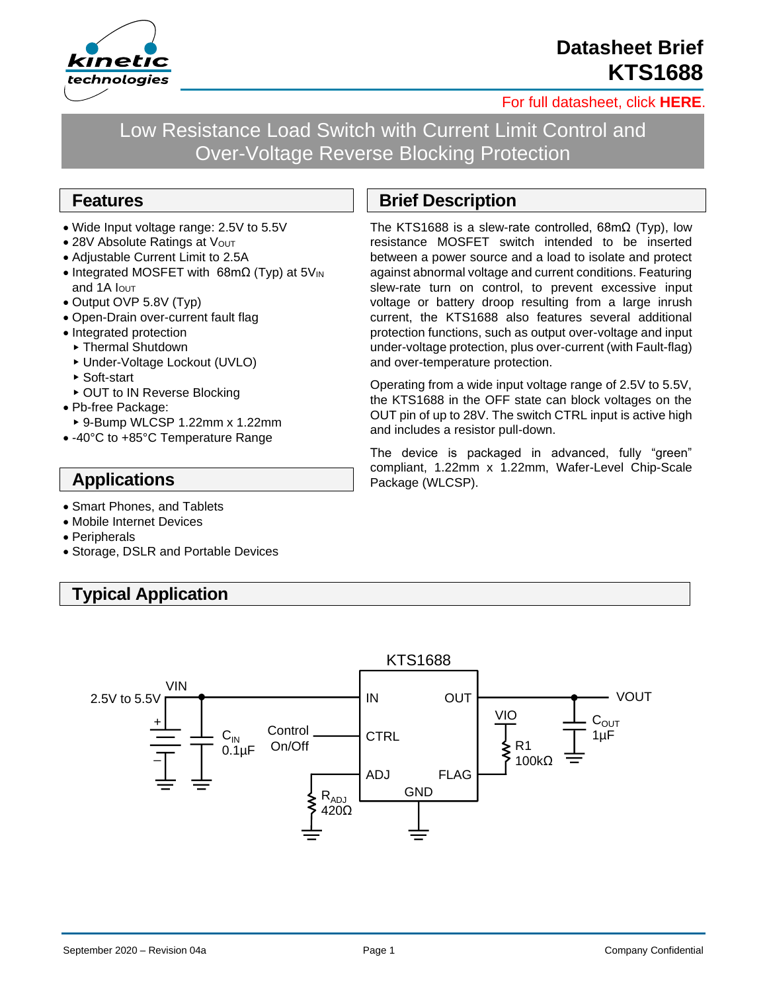

# **Datasheet Brief KTS1688**

[For full datasheet, click](https://www.kinet-ic.com/sample-buy/request-document/?part=KTS1688%20Full%20Datasheet) **HERE**.

Low Resistance Load Switch with Current Limit Control and Over-Voltage Reverse Blocking Protection

#### **Features**

- Wide Input voltage range: 2.5V to 5.5V
- 28V Absolute Ratings at Vout
- Adjustable Current Limit to 2.5A
- Integrated MOSFET with 68mΩ (Typ) at 5V<sub>IN</sub> and 1A  $I$ <sub>OUT</sub>
- Output OVP 5.8V (Typ)
- Open-Drain over-current fault flag
- Integrated protection
- ▶ Thermal Shutdown
- Under-Voltage Lockout (UVLO)
- ▶ Soft-start
- ▶ OUT to IN Reverse Blocking
- Pb-free Package:
- 9-Bump WLCSP 1.22mm x 1.22mm
- -40°C to +85°C Temperature Range

### **Applications**

- Smart Phones, and Tablets
- Mobile Internet Devices
- Peripherals
- Storage, DSLR and Portable Devices

## **Typical Application**

### **Brief Description**

The KTS1688 is a slew-rate controlled, 68mΩ (Typ), low resistance MOSFET switch intended to be inserted between a power source and a load to isolate and protect against abnormal voltage and current conditions. Featuring slew-rate turn on control, to prevent excessive input voltage or battery droop resulting from a large inrush current, the KTS1688 also features several additional protection functions, such as output over-voltage and input under-voltage protection, plus over-current (with Fault-flag) and over-temperature protection.

Operating from a wide input voltage range of 2.5V to 5.5V, the KTS1688 in the OFF state can block voltages on the OUT pin of up to 28V. The switch CTRL input is active high and includes a resistor pull-down.

The device is packaged in advanced, fully "green" compliant, 1.22mm x 1.22mm, Wafer-Level Chip-Scale Package (WLCSP).